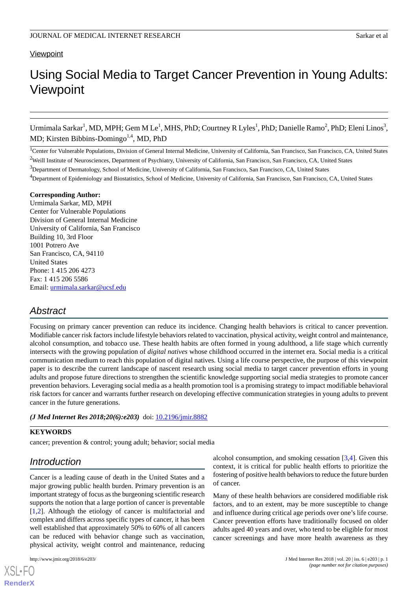## **Viewpoint**

# Using Social Media to Target Cancer Prevention in Young Adults: Viewpoint

Urmimala Sarkar<sup>1</sup>, MD, MPH; Gem M Le<sup>1</sup>, MHS, PhD; Courtney R Lyles<sup>1</sup>, PhD; Danielle Ramo<sup>2</sup>, PhD; Eleni Linos<sup>3</sup>, MD; Kirsten Bibbins-Domingo<sup>1,4</sup>, MD, PhD

<sup>1</sup>Center for Vulnerable Populations, Division of General Internal Medicine, University of California, San Francisco, San Francisco, CA, United States <sup>2</sup>Weill Institute of Neurosciences, Department of Psychiatry, University of California, San Francisco, San Francisco, CA, United States

<sup>3</sup>Department of Dermatology, School of Medicine, University of California, San Francisco, San Francisco, CA, United States

<sup>4</sup>Department of Epidemiology and Biostatistics, School of Medicine, University of California, San Francisco, San Francisco, CA, United States

#### **Corresponding Author:**

Urmimala Sarkar, MD, MPH Center for Vulnerable Populations Division of General Internal Medicine University of California, San Francisco Building 10, 3rd Floor 1001 Potrero Ave San Francisco, CA, 94110 United States Phone: 1 415 206 4273 Fax: 1 415 206 5586 Email: [urmimala.sarkar@ucsf.edu](mailto:urmimala.sarkar@ucsf.edu)

# *Abstract*

Focusing on primary cancer prevention can reduce its incidence. Changing health behaviors is critical to cancer prevention. Modifiable cancer risk factors include lifestyle behaviors related to vaccination, physical activity, weight control and maintenance, alcohol consumption, and tobacco use. These health habits are often formed in young adulthood, a life stage which currently intersects with the growing population of *digital natives* whose childhood occurred in the internet era. Social media is a critical communication medium to reach this population of digital natives. Using a life course perspective, the purpose of this viewpoint paper is to describe the current landscape of nascent research using social media to target cancer prevention efforts in young adults and propose future directions to strengthen the scientific knowledge supporting social media strategies to promote cancer prevention behaviors. Leveraging social media as a health promotion tool is a promising strategy to impact modifiable behavioral risk factors for cancer and warrants further research on developing effective communication strategies in young adults to prevent cancer in the future generations.

#### *(J Med Internet Res 2018;20(6):e203)* doi: [10.2196/jmir.8882](http://dx.doi.org/10.2196/jmir.8882)

### **KEYWORDS**

cancer; prevention & control; young adult; behavior; social media

# *Introduction*

Cancer is a leading cause of death in the United States and a major growing public health burden. Primary prevention is an important strategy of focus as the burgeoning scientific research supports the notion that a large portion of cancer is preventable [[1](#page-5-0)[,2](#page-5-1)]. Although the etiology of cancer is multifactorial and complex and differs across specific types of cancer, it has been well established that approximately 50% to 60% of all cancers can be reduced with behavior change such as vaccination, physical activity, weight control and maintenance, reducing

[XSL](http://www.w3.org/Style/XSL)•FO **[RenderX](http://www.renderx.com/)**

alcohol consumption, and smoking cessation [\[3](#page-5-2),[4\]](#page-5-3). Given this context, it is critical for public health efforts to prioritize the fostering of positive health behaviors to reduce the future burden of cancer.

Many of these health behaviors are considered modifiable risk factors, and to an extent, may be more susceptible to change and influence during critical age periods over one's life course. Cancer prevention efforts have traditionally focused on older adults aged 40 years and over, who tend to be eligible for most cancer screenings and have more health awareness as they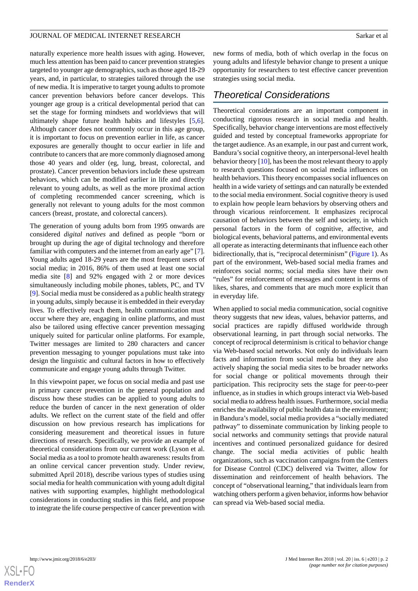naturally experience more health issues with aging. However, much less attention has been paid to cancer prevention strategies targeted to younger age demographics, such as those aged 18-29 years, and, in particular, to strategies tailored through the use of new media. It is imperative to target young adults to promote cancer prevention behaviors before cancer develops. This younger age group is a critical developmental period that can set the stage for forming mindsets and worldviews that will ultimately shape future health habits and lifestyles [\[5](#page-5-4),[6\]](#page-5-5). Although cancer does not commonly occur in this age group, it is important to focus on prevention earlier in life, as cancer exposures are generally thought to occur earlier in life and contribute to cancers that are more commonly diagnosed among those 40 years and older (eg, lung, breast, colorectal, and prostate). Cancer prevention behaviors include these upstream behaviors, which can be modified earlier in life and directly relevant to young adults, as well as the more proximal action of completing recommended cancer screening, which is generally not relevant to young adults for the most common cancers (breast, prostate, and colorectal cancers).

The generation of young adults born from 1995 onwards are considered *digital natives* and defined as people "born or brought up during the age of digital technology and therefore familiar with computers and the internet from an early age" [[7\]](#page-5-6). Young adults aged 18-29 years are the most frequent users of social media; in 2016, 86% of them used at least one social media site [\[8\]](#page-5-7) and 92% engaged with 2 or more devices simultaneously including mobile phones, tablets, PC, and TV [[9\]](#page-5-8). Social media must be considered as a public health strategy in young adults, simply because it is embedded in their everyday lives. To effectively reach them, health communication must occur where they are, engaging in online platforms, and must also be tailored using effective cancer prevention messaging uniquely suited for particular online platforms. For example, Twitter messages are limited to 280 characters and cancer prevention messaging to younger populations must take into design the linguistic and cultural factors in how to effectively communicate and engage young adults through Twitter.

In this viewpoint paper, we focus on social media and past use in primary cancer prevention in the general population and discuss how these studies can be applied to young adults to reduce the burden of cancer in the next generation of older adults. We reflect on the current state of the field and offer discussion on how previous research has implications for considering measurement and theoretical issues in future directions of research. Specifically, we provide an example of theoretical considerations from our current work (Lyson et al. Social media as a tool to promote health awareness: results from an online cervical cancer prevention study. Under review, submitted April 2018), describe various types of studies using social media for health communication with young adult digital natives with supporting examples, highlight methodological considerations in conducting studies in this field, and propose to integrate the life course perspective of cancer prevention with

new forms of media, both of which overlap in the focus on young adults and lifestyle behavior change to present a unique opportunity for researchers to test effective cancer prevention strategies using social media.

# *Theoretical Considerations*

Theoretical considerations are an important component in conducting rigorous research in social media and health. Specifically, behavior change interventions are most effectively guided and tested by conceptual frameworks appropriate for the target audience. As an example, in our past and current work, Bandura's social cognitive theory, an interpersonal-level health behavior theory [\[10](#page-5-9)], has been the most relevant theory to apply to research questions focused on social media influences on health behaviors. This theory encompasses social influences on health in a wide variety of settings and can naturally be extended to the social media environment. Social cognitive theory is used to explain how people learn behaviors by observing others and through vicarious reinforcement. It emphasizes reciprocal causation of behaviors between the self and society, in which personal factors in the form of cognitive, affective, and biological events, behavioral patterns, and environmental events all operate as interacting determinants that influence each other bidirectionally, that is, "reciprocal determinism" ([Figure 1\)](#page-2-0). As part of the environment, Web-based social media frames and reinforces social norms; social media sites have their own "rules" for reinforcement of messages and content in terms of likes, shares, and comments that are much more explicit than in everyday life.

When applied to social media communication, social cognitive theory suggests that new ideas, values, behavior patterns, and social practices are rapidly diffused worldwide through observational learning, in part through social networks. The concept of reciprocal determinism is critical to behavior change via Web-based social networks. Not only do individuals learn facts and information from social media but they are also actively shaping the social media sites to be broader networks for social change or political movements through their participation. This reciprocity sets the stage for peer-to-peer influence, as in studies in which groups interact via Web-based social media to address health issues. Furthermore, social media enriches the availability of public health data in the environment; in Bandura's model, social media provides a "socially mediated pathway" to disseminate communication by linking people to social networks and community settings that provide natural incentives and continued personalized guidance for desired change. The social media activities of public health organizations, such as vaccination campaigns from the Centers for Disease Control (CDC) delivered via Twitter, allow for dissemination and reinforcement of health behaviors. The concept of "observational learning," that individuals learn from watching others perform a given behavior, informs how behavior can spread via Web-based social media.

 $XS$ -FO **[RenderX](http://www.renderx.com/)**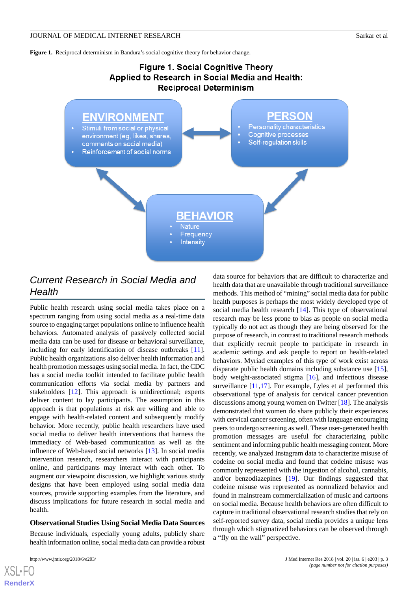<span id="page-2-0"></span>**Figure 1.** Reciprocal determinism in Bandura's social cognitive theory for behavior change.

# Figure 1. Social Cognitive Theory Applied to Research in Social Media and Health: **Reciprocal Determinism**



# *Current Research in Social Media and Health*

Public health research using social media takes place on a spectrum ranging from using social media as a real-time data source to engaging target populations online to influence health behaviors. Automated analysis of passively collected social media data can be used for disease or behavioral surveillance, including for early identification of disease outbreaks [[11\]](#page-5-10). Public health organizations also deliver health information and health promotion messages using social media. In fact, the CDC has a social media toolkit intended to facilitate public health communication efforts via social media by partners and stakeholders [\[12](#page-5-11)]. This approach is unidirectional; experts deliver content to lay participants. The assumption in this approach is that populations at risk are willing and able to engage with health-related content and subsequently modify behavior. More recently, public health researchers have used social media to deliver health interventions that harness the immediacy of Web-based communication as well as the influence of Web-based social networks [[13\]](#page-5-12). In social media intervention research, researchers interact with participants online, and participants may interact with each other. To augment our viewpoint discussion, we highlight various study designs that have been employed using social media data sources, provide supporting examples from the literature, and discuss implications for future research in social media and health.

#### **Observational Studies Using Social Media Data Sources**

Because individuals, especially young adults, publicly share health information online, social media data can provide a robust

[XSL](http://www.w3.org/Style/XSL)•FO **[RenderX](http://www.renderx.com/)**

data source for behaviors that are difficult to characterize and health data that are unavailable through traditional surveillance methods. This method of "mining" social media data for public health purposes is perhaps the most widely developed type of social media health research [\[14](#page-5-13)]. This type of observational research may be less prone to bias as people on social media typically do not act as though they are being observed for the purpose of research, in contrast to traditional research methods that explicitly recruit people to participate in research in academic settings and ask people to report on health-related behaviors. Myriad examples of this type of work exist across disparate public health domains including substance use [[15\]](#page-5-14), body weight-associated stigma [[16\]](#page-5-15), and infectious disease surveillance [\[11](#page-5-10)[,17](#page-5-16)]. For example, Lyles et al performed this observational type of analysis for cervical cancer prevention discussions among young women on Twitter [\[18](#page-5-17)]. The analysis demonstrated that women do share publicly their experiences with cervical cancer screening, often with language encouraging peers to undergo screening as well. These user-generated health promotion messages are useful for characterizing public sentiment and informing public health messaging content. More recently, we analyzed Instagram data to characterize misuse of codeine on social media and found that codeine misuse was commonly represented with the ingestion of alcohol, cannabis, and/or benzodiazepines [\[19](#page-5-18)]. Our findings suggested that codeine misuse was represented as normalized behavior and found in mainstream commercialization of music and cartoons on social media. Because health behaviors are often difficult to capture in traditional observational research studies that rely on self-reported survey data, social media provides a unique lens through which stigmatized behaviors can be observed through a "fly on the wall" perspective.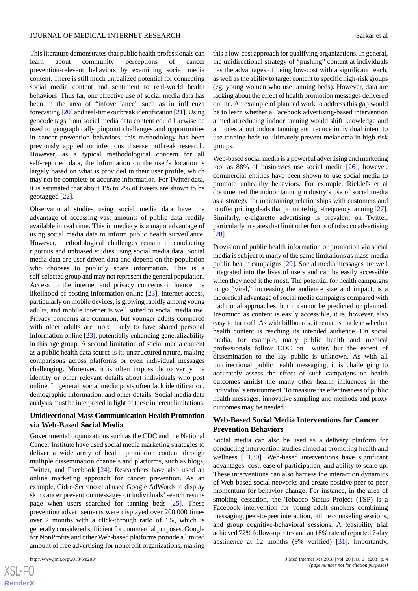This literature demonstrates that public health professionals can learn about community perceptions of cancer prevention-relevant behaviors by examining social media content. There is still much unrealized potential for connecting social media content and sentiment to real-world health behaviors. Thus far, one effective use of social media data has been in the area of "infoveillance" such as in influenza forecasting [[20](#page-5-19)] and real-time outbreak identification [\[21\]](#page-5-20). Using geocode tags from social media data content could likewise be used to geographically pinpoint challenges and opportunities in cancer prevention behaviors; this methodology has been previously applied to infectious disease outbreak research. However, as a typical methodological concern for all self-reported data, the information on the user's location is largely based on what is provided in their user profile, which may not be complete or accurate information. For Twitter data, it is estimated that about 1% to 2% of tweets are shown to be geotagged [\[22](#page-5-21)].

Observational studies using social media data have the advantage of accessing vast amounts of public data readily available in real time. This immediacy is a major advantage of using social media data to inform public health surveillance. However, methodological challenges remain in conducting rigorous and unbiased studies using social media data. Social media data are user-driven data and depend on the population who chooses to publicly share information. This is a self-selected group and may not represent the general population. Access to the internet and privacy concerns influence the likelihood of posting information online [[23\]](#page-5-22). Internet access, particularly on mobile devices, is growing rapidly among young adults, and mobile internet is well suited to social media use. Privacy concerns are common, but younger adults compared with older adults are more likely to have shared personal information online [[23\]](#page-5-22), potentially enhancing generalizability in this age group. A second limitation of social media content as a public health data source is its unstructured nature, making comparisons across platforms or even individual messages challenging. Moreover, it is often impossible to verify the identity or other relevant details about individuals who post online. In general, social media posts often lack identification, demographic information, and other details. Social media data analysis must be interpreted in light of these inherent limitations.

### **Unidirectional Mass Communication Health Promotion via Web-Based Social Media**

Governmental organizations such as the CDC and the National Cancer Institute have used social media marketing strategies to deliver a wide array of health promotion content through multiple dissemination channels and platforms, such as blogs, Twitter, and Facebook [\[24](#page-5-23)]. Researchers have also used an online marketing approach for cancer prevention. As an example, Cidre-Serrano et al used Google AdWords to display skin cancer prevention messages on individuals'search results page when users searched for tanning beds [[25\]](#page-6-0). These prevention advertisements were displayed over 200,000 times over 2 months with a click-through ratio of 1%, which is generally considered sufficient for commercial purposes. Google for NonProfits and other Web-based platforms provide a limited amount of free advertising for nonprofit organizations, making

this a low-cost approach for qualifying organizations. In general, the unidirectional strategy of "pushing" content at individuals has the advantages of being low-cost with a significant reach, as well as the ability to target content to specific high-risk groups (eg, young women who use tanning beds). However, data are lacking about the effect of health promotion messages delivered online. An example of planned work to address this gap would be to learn whether a Facebook advertising-based intervention aimed at reducing indoor tanning would shift knowledge and attitudes about indoor tanning and reduce individual intent to use tanning beds to ultimately prevent melanoma in high-risk groups.

Web-based social media is a powerful advertising and marketing tool as 88% of businesses use social media [\[26](#page-6-1)]; however, commercial entities have been shown to use social media to promote unhealthy behaviors. For example, Ricklefs et al documented the indoor tanning industry's use of social media as a strategy for maintaining relationships with customers and to offer pricing deals that promote high-frequency tanning [[27\]](#page-6-2). Similarly, e-cigarette advertising is prevalent on Twitter, particularly in states that limit other forms of tobacco advertising [[28\]](#page-6-3).

Provision of public health information or promotion via social media is subject to many of the same limitations as mass-media public health campaigns [\[29](#page-6-4)]. Social media messages are well integrated into the lives of users and can be easily accessible when they need it the most. The potential for health campaigns to go "viral," increasing the audience size and impact, is a theoretical advantage of social media campaigns compared with traditional approaches, but it cannot be predicted or planned. Insomuch as content is easily accessible, it is, however, also easy to turn off. As with billboards, it remains unclear whether health content is reaching its intended audience. On social media, for example, many public health and medical professionals follow CDC on Twitter, but the extent of dissemination to the lay public is unknown. As with all unidirectional public health messaging, it is challenging to accurately assess the effect of such campaigns on health outcomes amidst the many other health influences in the individual's environment. To measure the effectiveness of public health messages, innovative sampling and methods and proxy outcomes may be needed.

### **Web-Based Social Media Interventions for Cancer Prevention Behaviors**

Social media can also be used as a delivery platform for conducting intervention studies aimed at promoting health and wellness [[13,](#page-5-12)[30](#page-6-5)]. Web-based interventions have significant advantages: cost, ease of participation, and ability to scale up. These interventions can also harness the interaction dynamics of Web-based social networks and create positive peer-to-peer momentum for behavior change. For instance, in the area of smoking cessation, the Tobacco Status Project (TSP) is a Facebook intervention for young adult smokers combining messaging, peer-to-peer interaction, online counseling sessions, and group cognitive-behavioral sessions. A feasibility trial achieved 72% follow-up rates and an 18% rate of reported 7-day abstinence at 12 months (9% verified) [[31\]](#page-6-6). Importantly,

```
XSL•FO
RenderX
```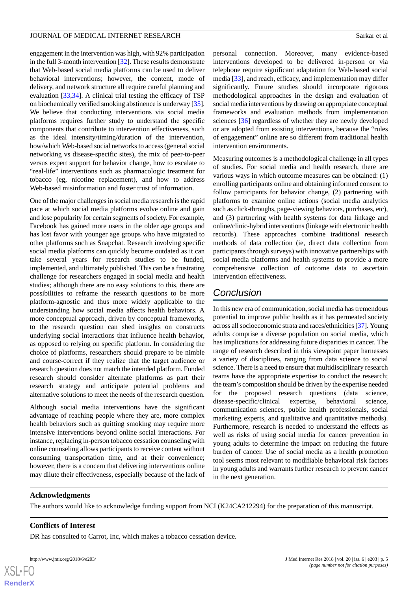engagement in the intervention was high, with 92% participation in the full 3-month intervention [\[32](#page-6-7)]. These results demonstrate that Web-based social media platforms can be used to deliver behavioral interventions; however, the content, mode of delivery, and network structure all require careful planning and evaluation [\[33](#page-6-8),[34\]](#page-6-9). A clinical trial testing the efficacy of TSP on biochemically verified smoking abstinence is underway [\[35\]](#page-6-10). We believe that conducting interventions via social media platforms requires further study to understand the specific components that contribute to intervention effectiveness, such as the ideal intensity/timing/duration of the intervention, how/which Web-based social networks to access (general social networking vs disease-specific sites), the mix of peer-to-peer versus expert support for behavior change, how to escalate to "real-life" interventions such as pharmacologic treatment for tobacco (eg, nicotine replacement), and how to address Web-based misinformation and foster trust of information.

One of the major challenges in social media research is the rapid pace at which social media platforms evolve online and gain and lose popularity for certain segments of society. For example, Facebook has gained more users in the older age groups and has lost favor with younger age groups who have migrated to other platforms such as Snapchat. Research involving specific social media platforms can quickly become outdated as it can take several years for research studies to be funded, implemented, and ultimately published. This can be a frustrating challenge for researchers engaged in social media and health studies; although there are no easy solutions to this, there are possibilities to reframe the research questions to be more platform-agnostic and thus more widely applicable to the understanding how social media affects health behaviors. A more conceptual approach, driven by conceptual frameworks, to the research question can shed insights on constructs underlying social interactions that influence health behavior, as opposed to relying on specific platform. In considering the choice of platforms, researchers should prepare to be nimble and course-correct if they realize that the target audience or research question does not match the intended platform. Funded research should consider alternate platforms as part their research strategy and anticipate potential problems and alternative solutions to meet the needs of the research question.

Although social media interventions have the significant advantage of reaching people where they are, more complex health behaviors such as quitting smoking may require more intensive interventions beyond online social interactions. For instance, replacing in-person tobacco cessation counseling with online counseling allows participants to receive content without consuming transportation time, and at their convenience; however, there is a concern that delivering interventions online may dilute their effectiveness, especially because of the lack of personal connection. Moreover, many evidence-based interventions developed to be delivered in-person or via telephone require significant adaptation for Web-based social media [[33\]](#page-6-8), and reach, efficacy, and implementation may differ significantly. Future studies should incorporate rigorous methodological approaches in the design and evaluation of social media interventions by drawing on appropriate conceptual frameworks and evaluation methods from implementation sciences [\[36](#page-6-11)] regardless of whether they are newly developed or are adopted from existing interventions, because the "rules of engagement" online are so different from traditional health intervention environments.

Measuring outcomes is a methodological challenge in all types of studies. For social media and health research, there are various ways in which outcome measures can be obtained: (1) enrolling participants online and obtaining informed consent to follow participants for behavior change, (2) partnering with platforms to examine online actions (social media analytics such as click-throughs, page-viewing behaviors, purchases, etc), and (3) partnering with health systems for data linkage and online/clinic-hybrid interventions (linkage with electronic health records). These approaches combine traditional research methods of data collection (ie, direct data collection from participants through surveys) with innovative partnerships with social media platforms and health systems to provide a more comprehensive collection of outcome data to ascertain intervention effectiveness.

# *Conclusion*

In this new era of communication, social media has tremendous potential to improve public health as it has permeated society across all socioeconomic strata and races/ethnicities [[37](#page-6-12)]. Young adults comprise a diverse population on social media, which has implications for addressing future disparities in cancer. The range of research described in this viewpoint paper harnesses a variety of disciplines, ranging from data science to social science. There is a need to ensure that multidisciplinary research teams have the appropriate expertise to conduct the research; the team's composition should be driven by the expertise needed for the proposed research questions (data science, disease-specific/clinical expertise, behavioral science, communication sciences, public health professionals, social marketing experts, and qualitative and quantitative methods). Furthermore, research is needed to understand the effects as well as risks of using social media for cancer prevention in young adults to determine the impact on reducing the future burden of cancer. Use of social media as a health promotion tool seems most relevant to modifiable behavioral risk factors in young adults and warrants further research to prevent cancer in the next generation.

### **Acknowledgments**

The authors would like to acknowledge funding support from NCI (K24CA212294) for the preparation of this manuscript.

### **Conflicts of Interest**

DR has consulted to Carrot, Inc, which makes a tobacco cessation device.



 $X$ SL•F **[RenderX](http://www.renderx.com/)**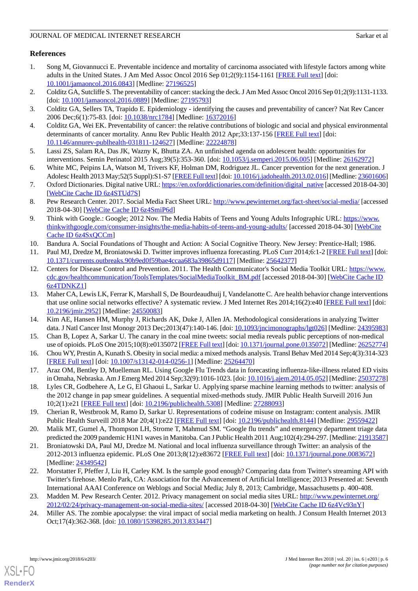# **References**

- <span id="page-5-0"></span>1. Song M, Giovannucci E. Preventable incidence and mortality of carcinoma associated with lifestyle factors among white adults in the United States. J Am Med Assoc Oncol 2016 Sep 01;2(9):1154-1161 [\[FREE Full text\]](http://europepmc.org/abstract/MED/27196525) [doi: [10.1001/jamaoncol.2016.0843](http://dx.doi.org/10.1001/jamaoncol.2016.0843)] [Medline: [27196525](http://www.ncbi.nlm.nih.gov/entrez/query.fcgi?cmd=Retrieve&db=PubMed&list_uids=27196525&dopt=Abstract)]
- <span id="page-5-2"></span><span id="page-5-1"></span>2. Colditz GA, Sutcliffe S. The preventability of cancer: stacking the deck. J Am Med Assoc Oncol 2016 Sep 01;2(9):1131-1133. [doi: [10.1001/jamaoncol.2016.0889\]](http://dx.doi.org/10.1001/jamaoncol.2016.0889) [Medline: [27195793\]](http://www.ncbi.nlm.nih.gov/entrez/query.fcgi?cmd=Retrieve&db=PubMed&list_uids=27195793&dopt=Abstract)
- <span id="page-5-3"></span>3. Colditz GA, Sellers TA, Trapido E. Epidemiology - identifying the causes and preventability of cancer? Nat Rev Cancer 2006 Dec;6(1):75-83. [doi: [10.1038/nrc1784](http://dx.doi.org/10.1038/nrc1784)] [Medline: [16372016\]](http://www.ncbi.nlm.nih.gov/entrez/query.fcgi?cmd=Retrieve&db=PubMed&list_uids=16372016&dopt=Abstract)
- <span id="page-5-4"></span>4. Colditz GA, Wei EK. Preventability of cancer: the relative contributions of biologic and social and physical environmental determinants of cancer mortality. Annu Rev Public Health 2012 Apr;33:137-156 [\[FREE Full text\]](http://europepmc.org/abstract/MED/22224878) [doi: [10.1146/annurev-publhealth-031811-124627\]](http://dx.doi.org/10.1146/annurev-publhealth-031811-124627) [Medline: [22224878\]](http://www.ncbi.nlm.nih.gov/entrez/query.fcgi?cmd=Retrieve&db=PubMed&list_uids=22224878&dopt=Abstract)
- <span id="page-5-5"></span>5. Lassi ZS, Salam RA, Das JK, Wazny K, Bhutta ZA. An unfinished agenda on adolescent health: opportunities for interventions. Semin Perinatol 2015 Aug;39(5):353-360. [doi: [10.1053/j.semperi.2015.06.005\]](http://dx.doi.org/10.1053/j.semperi.2015.06.005) [Medline: [26162972](http://www.ncbi.nlm.nih.gov/entrez/query.fcgi?cmd=Retrieve&db=PubMed&list_uids=26162972&dopt=Abstract)]
- <span id="page-5-6"></span>6. White MC, Peipins LA, Watson M, Trivers KF, Holman DM, Rodriguez JL. Cancer prevention for the next generation. J Adolesc Health 2013 May;52(5 Suppl):S1-S7 [[FREE Full text](http://linkinghub.elsevier.com/retrieve/pii/S1054-139X(13)00125-0)] [doi: [10.1016/j.jadohealth.2013.02.016](http://dx.doi.org/10.1016/j.jadohealth.2013.02.016)] [Medline: [23601606\]](http://www.ncbi.nlm.nih.gov/entrez/query.fcgi?cmd=Retrieve&db=PubMed&list_uids=23601606&dopt=Abstract)
- <span id="page-5-7"></span>7. Oxford Dictionaries. Digital native URL: [https://en.oxforddictionaries.com/definition/digital\\_native](https://en.oxforddictionaries.com/definition/digital_native) [accessed 2018-04-30] [[WebCite Cache ID 6z4STUd7S](http://www.webcitation.org/

                                            6z4STUd7S)]
- <span id="page-5-8"></span>8. Pew Research Center. 2017. Social Media Fact Sheet URL:<http://www.pewinternet.org/fact-sheet/social-media/> [accessed 2018-04-30] [\[WebCite Cache ID 6z4SmiP6d](http://www.webcitation.org/

                                            6z4SmiP6d)]
- <span id="page-5-10"></span><span id="page-5-9"></span>9. Think with Google.: Google; 2012 Nov. The Media Habits of Teens and Young Adults Infographic URL: [https://www.](https://www.thinkwithgoogle.com/consumer-insights/the-media-habits-of-teens-and-young-adults/) [thinkwithgoogle.com/consumer-insights/the-media-habits-of-teens-and-young-adults/](https://www.thinkwithgoogle.com/consumer-insights/the-media-habits-of-teens-and-young-adults/) [accessed 2018-04-30] [\[WebCite](http://www.webcitation.org/

                                            6z4SxQCCm) [Cache ID 6z4SxQCCm](http://www.webcitation.org/

                                            6z4SxQCCm)]
- <span id="page-5-11"></span>10. Bandura A. Social Foundations of Thought and Action: A Social Cognitive Theory. New Jersey: Prentice-Hall; 1986.
- 11. Paul MJ, Dredze M, Broniatowski D. Twitter improves influenza forecasting. PLoS Curr 2014;6:1-2 [[FREE Full text](http://dx.doi.org/10.1371/currents.outbreaks.90b9ed0f59bae4ccaa683a39865d9117)] [doi: [10.1371/currents.outbreaks.90b9ed0f59bae4ccaa683a39865d9117\]](http://dx.doi.org/10.1371/currents.outbreaks.90b9ed0f59bae4ccaa683a39865d9117) [Medline: [25642377\]](http://www.ncbi.nlm.nih.gov/entrez/query.fcgi?cmd=Retrieve&db=PubMed&list_uids=25642377&dopt=Abstract)
- <span id="page-5-12"></span>12. Centers for Disease Control and Prevention. 2011. The Health Communicator's Social Media Toolkit URL: [https://www.](https://www.cdc.gov/healthcommunication/ToolsTemplates/SocialMediaToolkit_BM.pdf) [cdc.gov/healthcommunication/ToolsTemplates/SocialMediaToolkit\\_BM.pdf](https://www.cdc.gov/healthcommunication/ToolsTemplates/SocialMediaToolkit_BM.pdf) [accessed 2018-04-30] [\[WebCite Cache ID](http://www.webcitation.org/

                                            6z4TDNKZ1) [6z4TDNKZ1\]](http://www.webcitation.org/

                                            6z4TDNKZ1)
- <span id="page-5-14"></span><span id="page-5-13"></span>13. Maher CA, Lewis LK, Ferrar K, Marshall S, De Bourdeaudhuij I, Vandelanotte C. Are health behavior change interventions that use online social networks effective? A systematic review. J Med Internet Res 2014;16(2):e40 [[FREE Full text](http://www.jmir.org/2014/2/e40/)] [doi: [10.2196/jmir.2952](http://dx.doi.org/10.2196/jmir.2952)] [Medline: [24550083](http://www.ncbi.nlm.nih.gov/entrez/query.fcgi?cmd=Retrieve&db=PubMed&list_uids=24550083&dopt=Abstract)]
- <span id="page-5-15"></span>14. Kim AE, Hansen HM, Murphy J, Richards AK, Duke J, Allen JA. Methodological considerations in analyzing Twitter data. J Natl Cancer Inst Monogr 2013 Dec;2013(47):140-146. [doi: [10.1093/jncimonographs/lgt026](http://dx.doi.org/10.1093/jncimonographs/lgt026)] [Medline: [24395983](http://www.ncbi.nlm.nih.gov/entrez/query.fcgi?cmd=Retrieve&db=PubMed&list_uids=24395983&dopt=Abstract)]
- <span id="page-5-16"></span>15. Chan B, Lopez A, Sarkar U. The canary in the coal mine tweets: social media reveals public perceptions of non-medical use of opioids. PLoS One 2015;10(8):e0135072 [\[FREE Full text\]](http://dx.plos.org/10.1371/journal.pone.0135072) [doi: [10.1371/journal.pone.0135072\]](http://dx.doi.org/10.1371/journal.pone.0135072) [Medline: [26252774\]](http://www.ncbi.nlm.nih.gov/entrez/query.fcgi?cmd=Retrieve&db=PubMed&list_uids=26252774&dopt=Abstract)
- <span id="page-5-17"></span>16. Chou WY, Prestin A, Kunath S. Obesity in social media: a mixed methods analysis. Transl Behav Med 2014 Sep;4(3):314-323 [[FREE Full text](http://europepmc.org/abstract/MED/25264470)] [doi: [10.1007/s13142-014-0256-1\]](http://dx.doi.org/10.1007/s13142-014-0256-1) [Medline: [25264470](http://www.ncbi.nlm.nih.gov/entrez/query.fcgi?cmd=Retrieve&db=PubMed&list_uids=25264470&dopt=Abstract)]
- <span id="page-5-18"></span>17. Araz OM, Bentley D, Muelleman RL. Using Google Flu Trends data in forecasting influenza-like-illness related ED visits in Omaha, Nebraska. Am J Emerg Med 2014 Sep;32(9):1016-1023. [doi: [10.1016/j.ajem.2014.05.052\]](http://dx.doi.org/10.1016/j.ajem.2014.05.052) [Medline: [25037278\]](http://www.ncbi.nlm.nih.gov/entrez/query.fcgi?cmd=Retrieve&db=PubMed&list_uids=25037278&dopt=Abstract)
- <span id="page-5-19"></span>18. Lyles CR, Godbehere A, Le G, El Ghaoui L, Sarkar U. Applying sparse machine learning methods to twitter: analysis of the 2012 change in pap smear guidelines. A sequential mixed-methods study. JMIR Public Health Surveill 2016 Jun 10;2(1):e21 [\[FREE Full text](http://publichealth.jmir.org/2016/1/e21/)] [doi: [10.2196/publichealth.5308\]](http://dx.doi.org/10.2196/publichealth.5308) [Medline: [27288093\]](http://www.ncbi.nlm.nih.gov/entrez/query.fcgi?cmd=Retrieve&db=PubMed&list_uids=27288093&dopt=Abstract)
- <span id="page-5-20"></span>19. Cherian R, Westbrook M, Ramo D, Sarkar U. Representations of codeine misuse on Instagram: content analysis. JMIR Public Health Surveill 2018 Mar 20;4(1):e22 [[FREE Full text](http://publichealth.jmir.org/2018/1/e22/)] [doi: [10.2196/publichealth.8144\]](http://dx.doi.org/10.2196/publichealth.8144) [Medline: [29559422](http://www.ncbi.nlm.nih.gov/entrez/query.fcgi?cmd=Retrieve&db=PubMed&list_uids=29559422&dopt=Abstract)]
- <span id="page-5-21"></span>20. Malik MT, Gumel A, Thompson LH, Strome T, Mahmud SM. "Google flu trends" and emergency department triage data predicted the 2009 pandemic H1N1 waves in Manitoba. Can J Public Health 2011 Aug;102(4):294-297. [Medline: [21913587\]](http://www.ncbi.nlm.nih.gov/entrez/query.fcgi?cmd=Retrieve&db=PubMed&list_uids=21913587&dopt=Abstract)
- <span id="page-5-22"></span>21. Broniatowski DA, Paul MJ, Dredze M. National and local influenza surveillance through Twitter: an analysis of the 2012-2013 influenza epidemic. PLoS One 2013;8(12):e83672 [\[FREE Full text](http://dx.plos.org/10.1371/journal.pone.0083672)] [doi: [10.1371/journal.pone.0083672\]](http://dx.doi.org/10.1371/journal.pone.0083672) [Medline: [24349542](http://www.ncbi.nlm.nih.gov/entrez/query.fcgi?cmd=Retrieve&db=PubMed&list_uids=24349542&dopt=Abstract)]
- <span id="page-5-23"></span>22. Morstatter F, Pfeffer J, Liu H, Carley KM. Is the sample good enough? Comparing data from Twitter's streaming API with Twitter's firehose. Menlo Park, CA: Association for the Advancement of Artificial Intelligence; 2013 Presented at: Seventh International AAAI Conference on Weblogs and Social Media; July 8, 2013; Cambridge, Massachusetts p. 400-408.
- 23. Madden M. Pew Research Center. 2012. Privacy management on social media sites URL: [http://www.pewinternet.org/](http://www.pewinternet.org/2012/02/24/privacy-management-on-social-media-sites/) [2012/02/24/privacy-management-on-social-media-sites/](http://www.pewinternet.org/2012/02/24/privacy-management-on-social-media-sites/) [accessed 2018-04-30] [\[WebCite Cache ID 6z4Vc93nY\]](http://www.webcitation.org/

                                            6z4Vc93nY)
- 24. Miller AS. The zombie apocalypse: the viral impact of social media marketing on health. J Consum Health Internet 2013 Oct;17(4):362-368. [doi: [10.1080/15398285.2013.833447](http://dx.doi.org/10.1080/15398285.2013.833447)]